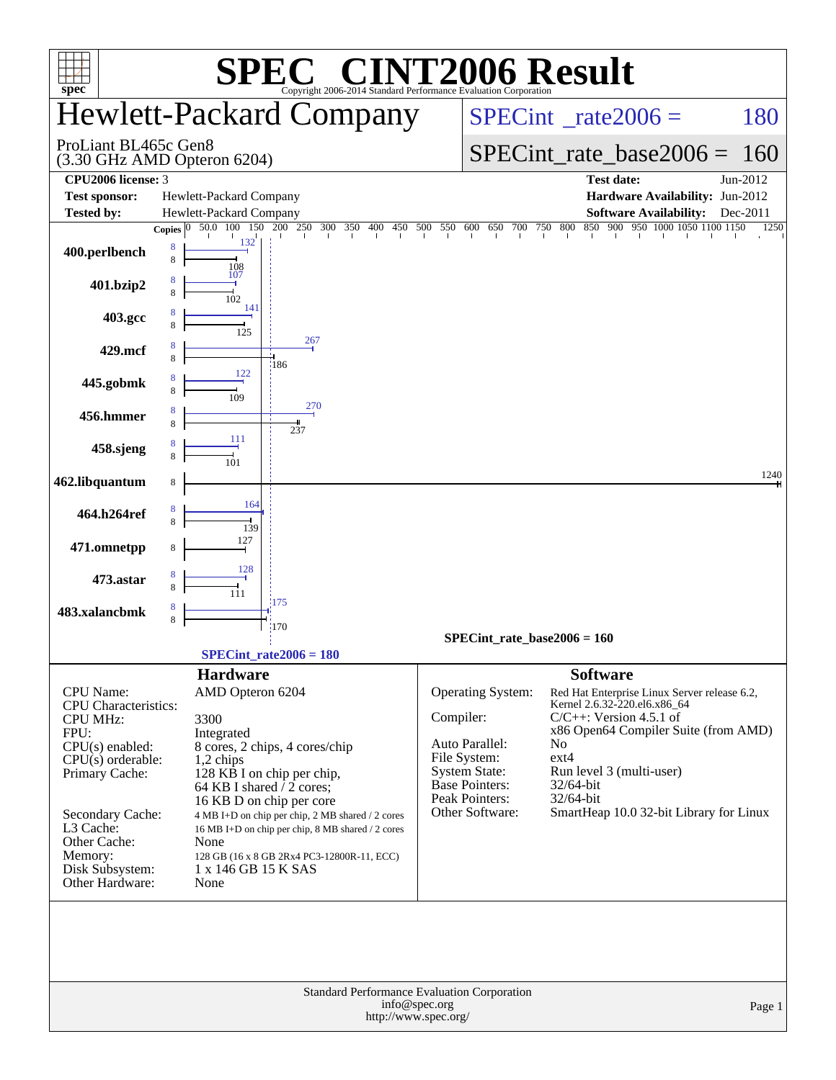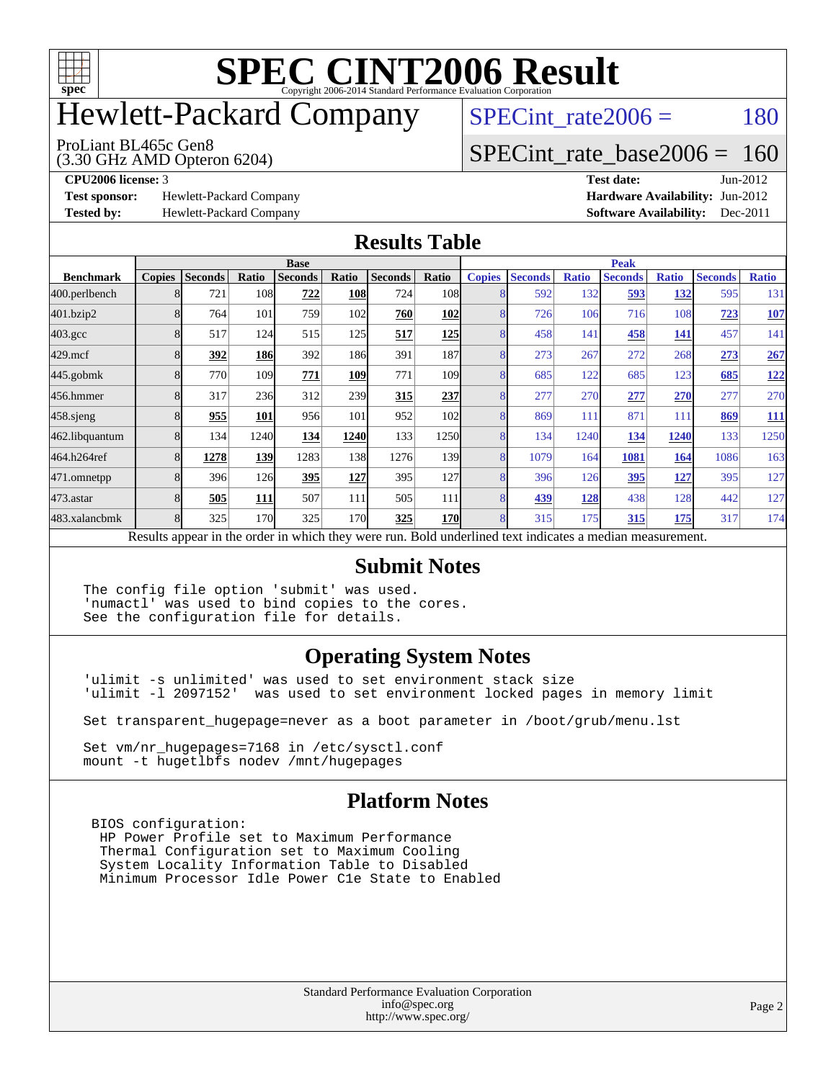

## Hewlett-Packard Company

 $SPECTnt_rate2006 = 180$ 

#### ProLiant BL465c Gen8

(3.30 GHz AMD Opteron 6204)

[SPECint\\_rate\\_base2006 =](http://www.spec.org/auto/cpu2006/Docs/result-fields.html#SPECintratebase2006) 160

**[Test sponsor:](http://www.spec.org/auto/cpu2006/Docs/result-fields.html#Testsponsor)** Hewlett-Packard Company **[Hardware Availability:](http://www.spec.org/auto/cpu2006/Docs/result-fields.html#HardwareAvailability)** Jun-2012

**[CPU2006 license:](http://www.spec.org/auto/cpu2006/Docs/result-fields.html#CPU2006license)** 3 **[Test date:](http://www.spec.org/auto/cpu2006/Docs/result-fields.html#Testdate)** Jun-2012 **[Tested by:](http://www.spec.org/auto/cpu2006/Docs/result-fields.html#Testedby)** Hewlett-Packard Company **[Software Availability:](http://www.spec.org/auto/cpu2006/Docs/result-fields.html#SoftwareAvailability)** Dec-2011

### **[Results Table](http://www.spec.org/auto/cpu2006/Docs/result-fields.html#ResultsTable)**

|                                                                                                          | <b>Base</b>   |                |       |                |            |                |                  | <b>Peak</b>   |                |              |                |              |                |              |
|----------------------------------------------------------------------------------------------------------|---------------|----------------|-------|----------------|------------|----------------|------------------|---------------|----------------|--------------|----------------|--------------|----------------|--------------|
| <b>Benchmark</b>                                                                                         | <b>Copies</b> | <b>Seconds</b> | Ratio | <b>Seconds</b> | Ratio      | <b>Seconds</b> | Ratio            | <b>Copies</b> | <b>Seconds</b> | <b>Ratio</b> | <b>Seconds</b> | <b>Ratio</b> | <b>Seconds</b> | <b>Ratio</b> |
| 400.perlbench                                                                                            | 8             | 721            | 108   | 722            | <b>108</b> | 724            | 108              | 8             | 592            | 132          | 593            | 132          | 595            | 131          |
| 401.bzip2                                                                                                | 8             | 764            | 101   | 759            | 102        | 760            | 102              | 8             | 726            | 106          | 716            | 108          | <u>723</u>     | <b>107</b>   |
| $403.\mathrm{gcc}$                                                                                       | 8             | 517            | 124   | 515            | 125        | 517            | 125              | 8             | 458            | 141          | 458            | <u>141</u>   | 457            | 141          |
| $429$ .mcf                                                                                               | 8             | 392            | 186   | 392            | <b>186</b> | 391            | 187              | 8             | 273            | 267          | 272            | 268          | 273            | 267          |
| $445$ .gobm $k$                                                                                          |               | 770            | 109   | 771            | <u>109</u> | 771            | 109 <sub>1</sub> | 8             | 685            | 122          | 685            | 123          | 685            | <u>122</u>   |
| 456.hmmer                                                                                                |               | 317            | 236   | 312            | 239        | 315            | 237              | 8             | 277            | 270          | 277            | 270          | 277            | 270          |
| $458$ .sjeng                                                                                             | 8             | 955            | 101   | 956            | 101        | 952            | 102l             | 8             | 869            | 111          | 871            | 111          | 869            | <u>111</u>   |
| 462.libquantum                                                                                           | 8             | 134            | 1240  | 134            | 1240       | 133            | 1250             | 8             | 134            | 1240         | 134            | 1240         | 133            | 1250         |
| 464.h264ref                                                                                              | 8             | 1278           | 139   | 1283           | 138        | 1276           | 139              | 8             | 1079           | 164          | 1081           | 164          | 1086           | 163          |
| 471.omnetpp                                                                                              | 8             | 396            | 126   | 395            | <u>127</u> | 395            | <b>127</b>       | 8             | 396            | 126          | 395            | <u>127</u>   | 395            | 127          |
| $473$ . astar                                                                                            | 8             | 505            | 111   | 507            | 111        | 505            | 111              | 8             | 439            | 128          | 438            | 128          | 442            | 127          |
| 483.xalancbmk                                                                                            | $\mathbf{8}$  | 325            | 170   | 325            | 170        | 325            | <b>170</b>       | 8             | 315            | 175          | 315            | 175          | 317            | 174          |
| Results appear in the order in which they were run. Bold underlined text indicates a median measurement. |               |                |       |                |            |                |                  |               |                |              |                |              |                |              |

### **[Submit Notes](http://www.spec.org/auto/cpu2006/Docs/result-fields.html#SubmitNotes)**

The config file option 'submit' was used. 'numactl' was used to bind copies to the cores. See the configuration file for details.

### **[Operating System Notes](http://www.spec.org/auto/cpu2006/Docs/result-fields.html#OperatingSystemNotes)**

'ulimit -s unlimited' was used to set environment stack size 'ulimit -l 2097152' was used to set environment locked pages in memory limit

Set transparent\_hugepage=never as a boot parameter in /boot/grub/menu.lst

Set vm/nr\_hugepages=7168 in /etc/sysctl.conf mount -t hugetlbfs nodev /mnt/hugepages

### **[Platform Notes](http://www.spec.org/auto/cpu2006/Docs/result-fields.html#PlatformNotes)**

 BIOS configuration: HP Power Profile set to Maximum Performance Thermal Configuration set to Maximum Cooling System Locality Information Table to Disabled Minimum Processor Idle Power C1e State to Enabled

> Standard Performance Evaluation Corporation [info@spec.org](mailto:info@spec.org) <http://www.spec.org/>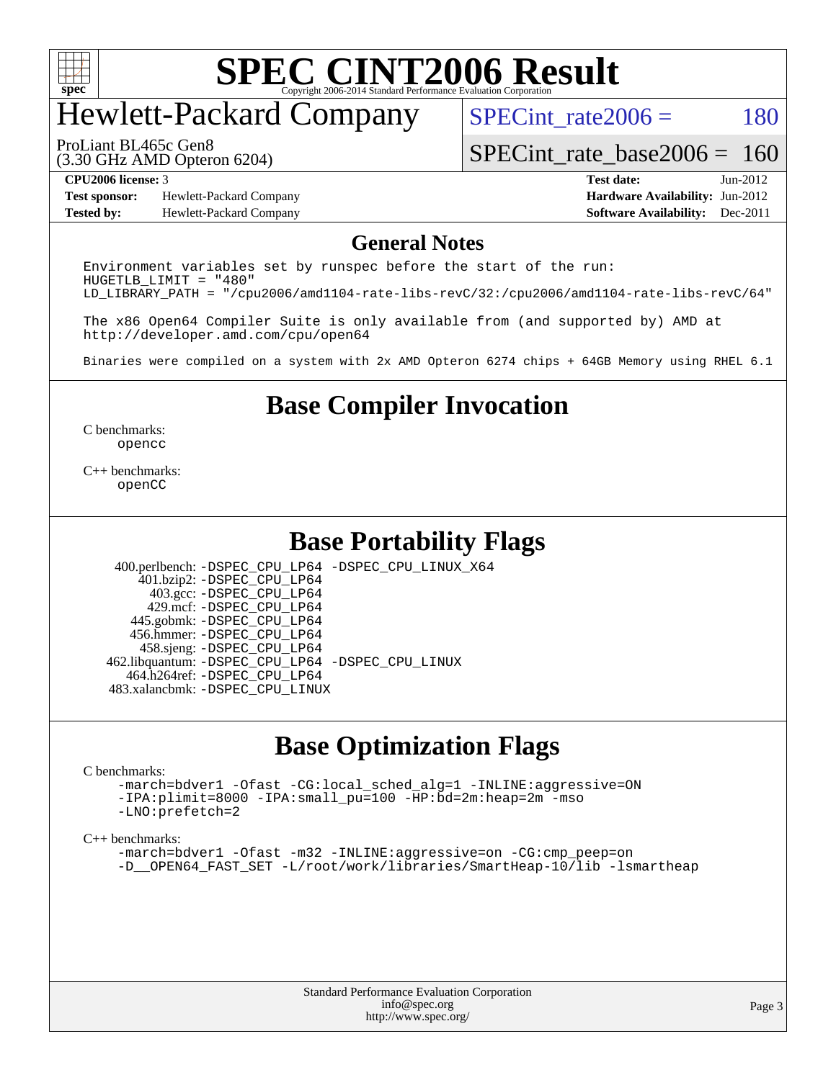

## Hewlett-Packard Company

 $SPECTnt_rate2006 = 180$ 

(3.30 GHz AMD Opteron 6204) ProLiant BL465c Gen8

[SPECint\\_rate\\_base2006 =](http://www.spec.org/auto/cpu2006/Docs/result-fields.html#SPECintratebase2006) 160

**[Test sponsor:](http://www.spec.org/auto/cpu2006/Docs/result-fields.html#Testsponsor)** Hewlett-Packard Company **[Hardware Availability:](http://www.spec.org/auto/cpu2006/Docs/result-fields.html#HardwareAvailability)** Jun-2012 **[Tested by:](http://www.spec.org/auto/cpu2006/Docs/result-fields.html#Testedby)** Hewlett-Packard Company **[Software Availability:](http://www.spec.org/auto/cpu2006/Docs/result-fields.html#SoftwareAvailability)** Dec-2011

**[CPU2006 license:](http://www.spec.org/auto/cpu2006/Docs/result-fields.html#CPU2006license)** 3 **[Test date:](http://www.spec.org/auto/cpu2006/Docs/result-fields.html#Testdate)** Jun-2012

### **[General Notes](http://www.spec.org/auto/cpu2006/Docs/result-fields.html#GeneralNotes)**

Environment variables set by runspec before the start of the run: HUGETLB\_LIMIT = "480" LD\_LIBRARY\_PATH = "/cpu2006/amd1104-rate-libs-revC/32:/cpu2006/amd1104-rate-libs-revC/64"

The x86 Open64 Compiler Suite is only available from (and supported by) AMD at <http://developer.amd.com/cpu/open64>

Binaries were compiled on a system with 2x AMD Opteron 6274 chips + 64GB Memory using RHEL 6.1

**[Base Compiler Invocation](http://www.spec.org/auto/cpu2006/Docs/result-fields.html#BaseCompilerInvocation)**

[C benchmarks](http://www.spec.org/auto/cpu2006/Docs/result-fields.html#Cbenchmarks): [opencc](http://www.spec.org/cpu2006/results/res2012q3/cpu2006-20120618-22993.flags.html#user_CCbase_Fopencc)

[C++ benchmarks:](http://www.spec.org/auto/cpu2006/Docs/result-fields.html#CXXbenchmarks) [openCC](http://www.spec.org/cpu2006/results/res2012q3/cpu2006-20120618-22993.flags.html#user_CXXbase_FopenCC)

### **[Base Portability Flags](http://www.spec.org/auto/cpu2006/Docs/result-fields.html#BasePortabilityFlags)**

 400.perlbench: [-DSPEC\\_CPU\\_LP64](http://www.spec.org/cpu2006/results/res2012q3/cpu2006-20120618-22993.flags.html#b400.perlbench_basePORTABILITY_DSPEC_CPU_LP64) [-DSPEC\\_CPU\\_LINUX\\_X64](http://www.spec.org/cpu2006/results/res2012q3/cpu2006-20120618-22993.flags.html#b400.perlbench_baseCPORTABILITY_DSPEC_CPU_LINUX_X64) 401.bzip2: [-DSPEC\\_CPU\\_LP64](http://www.spec.org/cpu2006/results/res2012q3/cpu2006-20120618-22993.flags.html#suite_basePORTABILITY401_bzip2_DSPEC_CPU_LP64) 403.gcc: [-DSPEC\\_CPU\\_LP64](http://www.spec.org/cpu2006/results/res2012q3/cpu2006-20120618-22993.flags.html#suite_basePORTABILITY403_gcc_DSPEC_CPU_LP64) 429.mcf: [-DSPEC\\_CPU\\_LP64](http://www.spec.org/cpu2006/results/res2012q3/cpu2006-20120618-22993.flags.html#suite_basePORTABILITY429_mcf_DSPEC_CPU_LP64) 445.gobmk: [-DSPEC\\_CPU\\_LP64](http://www.spec.org/cpu2006/results/res2012q3/cpu2006-20120618-22993.flags.html#suite_basePORTABILITY445_gobmk_DSPEC_CPU_LP64) 456.hmmer: [-DSPEC\\_CPU\\_LP64](http://www.spec.org/cpu2006/results/res2012q3/cpu2006-20120618-22993.flags.html#suite_basePORTABILITY456_hmmer_DSPEC_CPU_LP64) 458.sjeng: [-DSPEC\\_CPU\\_LP64](http://www.spec.org/cpu2006/results/res2012q3/cpu2006-20120618-22993.flags.html#suite_basePORTABILITY458_sjeng_DSPEC_CPU_LP64) 462.libquantum: [-DSPEC\\_CPU\\_LP64](http://www.spec.org/cpu2006/results/res2012q3/cpu2006-20120618-22993.flags.html#suite_basePORTABILITY462_libquantum_DSPEC_CPU_LP64) [-DSPEC\\_CPU\\_LINUX](http://www.spec.org/cpu2006/results/res2012q3/cpu2006-20120618-22993.flags.html#b462.libquantum_baseCPORTABILITY_DSPEC_CPU_LINUX) 464.h264ref: [-DSPEC\\_CPU\\_LP64](http://www.spec.org/cpu2006/results/res2012q3/cpu2006-20120618-22993.flags.html#suite_basePORTABILITY464_h264ref_DSPEC_CPU_LP64) 483.xalancbmk: [-DSPEC\\_CPU\\_LINUX](http://www.spec.org/cpu2006/results/res2012q3/cpu2006-20120618-22993.flags.html#b483.xalancbmk_baseCXXPORTABILITY_DSPEC_CPU_LINUX)

### **[Base Optimization Flags](http://www.spec.org/auto/cpu2006/Docs/result-fields.html#BaseOptimizationFlags)**

#### [C benchmarks](http://www.spec.org/auto/cpu2006/Docs/result-fields.html#Cbenchmarks):

[-march=bdver1](http://www.spec.org/cpu2006/results/res2012q3/cpu2006-20120618-22993.flags.html#user_CCbase_F-march_fdb9f2653a6b3eaa60be4cf93a9ba5f3) [-Ofast](http://www.spec.org/cpu2006/results/res2012q3/cpu2006-20120618-22993.flags.html#user_CCbase_F-Ofast) [-CG:local\\_sched\\_alg=1](http://www.spec.org/cpu2006/results/res2012q3/cpu2006-20120618-22993.flags.html#user_CCbase_F-CG:local_sched_alg_2175ca61f1a2717f1ec57b14995b9e7a) [-INLINE:aggressive=ON](http://www.spec.org/cpu2006/results/res2012q3/cpu2006-20120618-22993.flags.html#user_CCbase_F-INLINE:aggressive_1968a21fda3b9e485676870015f71302) [-IPA:plimit=8000](http://www.spec.org/cpu2006/results/res2012q3/cpu2006-20120618-22993.flags.html#user_CCbase_F-IPA:plimit_92cba83f3d47f09c7d5368fda93ddbd7) [-IPA:small\\_pu=100](http://www.spec.org/cpu2006/results/res2012q3/cpu2006-20120618-22993.flags.html#user_CCbase_F-IPA:small_pu_900a09767c6929d55c26ea3d32399996) [-HP:bd=2m:heap=2m](http://www.spec.org/cpu2006/results/res2012q3/cpu2006-20120618-22993.flags.html#user_CCbase_F-HUGEPAGE_539c723a9f9bd1bd95cd839aeb740bae) [-mso](http://www.spec.org/cpu2006/results/res2012q3/cpu2006-20120618-22993.flags.html#user_CCbase_F-mso) [-LNO:prefetch=2](http://www.spec.org/cpu2006/results/res2012q3/cpu2006-20120618-22993.flags.html#user_CCbase_F-LNO:prefetch_9aee81855ba0592a3c8a40ba7b041143)

#### [C++ benchmarks:](http://www.spec.org/auto/cpu2006/Docs/result-fields.html#CXXbenchmarks)

[-march=bdver1](http://www.spec.org/cpu2006/results/res2012q3/cpu2006-20120618-22993.flags.html#user_CXXbase_F-march_fdb9f2653a6b3eaa60be4cf93a9ba5f3) [-Ofast](http://www.spec.org/cpu2006/results/res2012q3/cpu2006-20120618-22993.flags.html#user_CXXbase_F-Ofast) [-m32](http://www.spec.org/cpu2006/results/res2012q3/cpu2006-20120618-22993.flags.html#user_CXXbase_F-m32) [-INLINE:aggressive=on](http://www.spec.org/cpu2006/results/res2012q3/cpu2006-20120618-22993.flags.html#user_CXXbase_F-INLINE:aggressive_e14807c0a1e56a6a83cb25ab07c7ae8a) -CG:cmp peep=on [-D\\_\\_OPEN64\\_FAST\\_SET](http://www.spec.org/cpu2006/results/res2012q3/cpu2006-20120618-22993.flags.html#user_CXXbase_F-D__OPEN64_FAST_SET_294c6d8260f208640e5474aae24dc22e) [-L/root/work/libraries/SmartHeap-10/lib -lsmartheap](http://www.spec.org/cpu2006/results/res2012q3/cpu2006-20120618-22993.flags.html#user_CXXbase_F-L_lib_directory_lsmartheap_85a76c4428362ddebb9fcf59329573fc)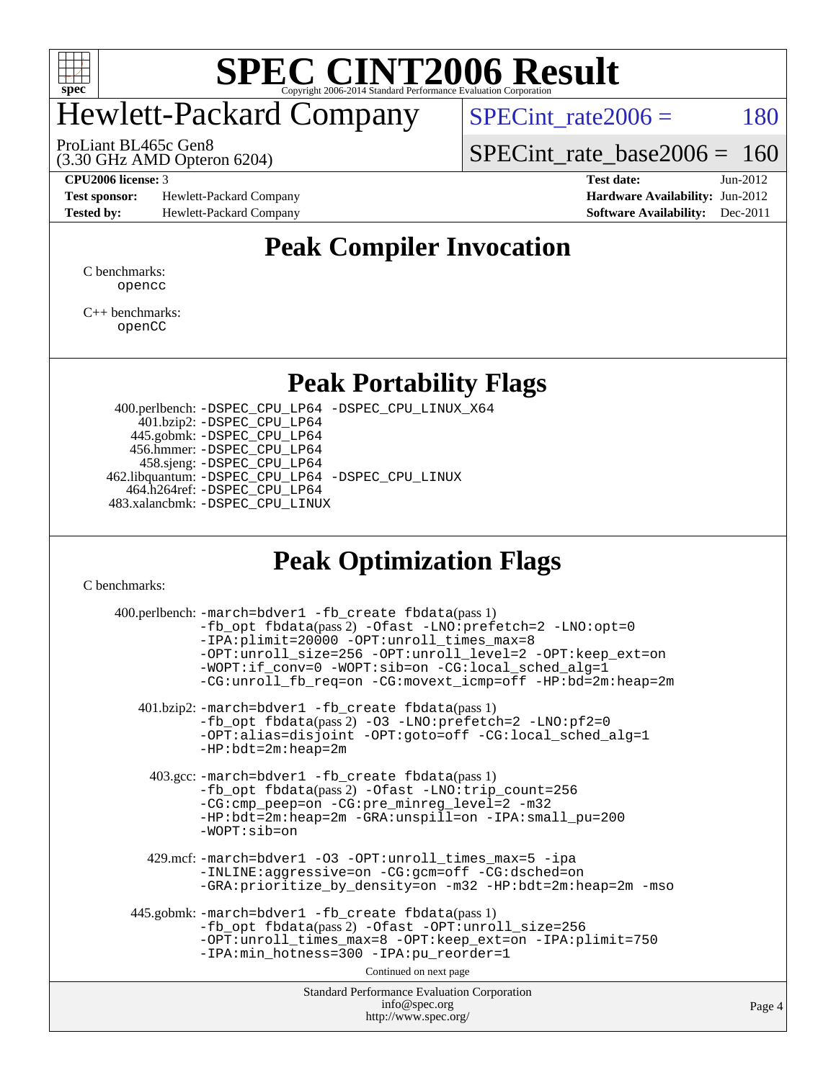

# Hewlett-Packard Company

 $SPECTnt_rate2006 = 180$ 

(3.30 GHz AMD Opteron 6204) ProLiant BL465c Gen8

[SPECint\\_rate\\_base2006 =](http://www.spec.org/auto/cpu2006/Docs/result-fields.html#SPECintratebase2006) 160

**[Test sponsor:](http://www.spec.org/auto/cpu2006/Docs/result-fields.html#Testsponsor)** Hewlett-Packard Company **[Hardware Availability:](http://www.spec.org/auto/cpu2006/Docs/result-fields.html#HardwareAvailability)** Jun-2012 **[Tested by:](http://www.spec.org/auto/cpu2006/Docs/result-fields.html#Testedby)** Hewlett-Packard Company **[Software Availability:](http://www.spec.org/auto/cpu2006/Docs/result-fields.html#SoftwareAvailability)** Dec-2011

**[CPU2006 license:](http://www.spec.org/auto/cpu2006/Docs/result-fields.html#CPU2006license)** 3 **[Test date:](http://www.spec.org/auto/cpu2006/Docs/result-fields.html#Testdate)** Jun-2012

### **[Peak Compiler Invocation](http://www.spec.org/auto/cpu2006/Docs/result-fields.html#PeakCompilerInvocation)**

[C benchmarks](http://www.spec.org/auto/cpu2006/Docs/result-fields.html#Cbenchmarks): [opencc](http://www.spec.org/cpu2006/results/res2012q3/cpu2006-20120618-22993.flags.html#user_CCpeak_Fopencc)

[C++ benchmarks:](http://www.spec.org/auto/cpu2006/Docs/result-fields.html#CXXbenchmarks) [openCC](http://www.spec.org/cpu2006/results/res2012q3/cpu2006-20120618-22993.flags.html#user_CXXpeak_FopenCC)

### **[Peak Portability Flags](http://www.spec.org/auto/cpu2006/Docs/result-fields.html#PeakPortabilityFlags)**

 400.perlbench: [-DSPEC\\_CPU\\_LP64](http://www.spec.org/cpu2006/results/res2012q3/cpu2006-20120618-22993.flags.html#b400.perlbench_peakPORTABILITY_DSPEC_CPU_LP64) [-DSPEC\\_CPU\\_LINUX\\_X64](http://www.spec.org/cpu2006/results/res2012q3/cpu2006-20120618-22993.flags.html#b400.perlbench_peakCPORTABILITY_DSPEC_CPU_LINUX_X64) 401.bzip2: [-DSPEC\\_CPU\\_LP64](http://www.spec.org/cpu2006/results/res2012q3/cpu2006-20120618-22993.flags.html#suite_peakPORTABILITY401_bzip2_DSPEC_CPU_LP64) 445.gobmk: [-DSPEC\\_CPU\\_LP64](http://www.spec.org/cpu2006/results/res2012q3/cpu2006-20120618-22993.flags.html#suite_peakPORTABILITY445_gobmk_DSPEC_CPU_LP64) 456.hmmer: [-DSPEC\\_CPU\\_LP64](http://www.spec.org/cpu2006/results/res2012q3/cpu2006-20120618-22993.flags.html#suite_peakPORTABILITY456_hmmer_DSPEC_CPU_LP64) 458.sjeng: [-DSPEC\\_CPU\\_LP64](http://www.spec.org/cpu2006/results/res2012q3/cpu2006-20120618-22993.flags.html#suite_peakPORTABILITY458_sjeng_DSPEC_CPU_LP64) 462.libquantum: [-DSPEC\\_CPU\\_LP64](http://www.spec.org/cpu2006/results/res2012q3/cpu2006-20120618-22993.flags.html#suite_peakPORTABILITY462_libquantum_DSPEC_CPU_LP64) [-DSPEC\\_CPU\\_LINUX](http://www.spec.org/cpu2006/results/res2012q3/cpu2006-20120618-22993.flags.html#b462.libquantum_peakCPORTABILITY_DSPEC_CPU_LINUX) 464.h264ref: [-DSPEC\\_CPU\\_LP64](http://www.spec.org/cpu2006/results/res2012q3/cpu2006-20120618-22993.flags.html#suite_peakPORTABILITY464_h264ref_DSPEC_CPU_LP64) 483.xalancbmk: [-DSPEC\\_CPU\\_LINUX](http://www.spec.org/cpu2006/results/res2012q3/cpu2006-20120618-22993.flags.html#b483.xalancbmk_peakCXXPORTABILITY_DSPEC_CPU_LINUX)

### **[Peak Optimization Flags](http://www.spec.org/auto/cpu2006/Docs/result-fields.html#PeakOptimizationFlags)**

[C benchmarks](http://www.spec.org/auto/cpu2006/Docs/result-fields.html#Cbenchmarks):

| 400.perlbench: -march=bdver1 -fb_create fbdata(pass 1)<br>$-fb\_{opt}$ fbdata(pass 2) $-0$ fast $-LNO:pretetch=2$ $-LNO:opt=0$<br>-IPA:plimit=20000 -OPT:unroll_times_max=8<br>-OPT:unroll_size=256 -OPT:unroll_level=2 -OPT:keep_ext=on<br>-WOPT:if_conv=0 -WOPT:sib=on -CG:local_sched_alg=1<br>-CG:unroll fb req=on -CG:movext icmp=off -HP:bd=2m:heap=2m |     |
|--------------------------------------------------------------------------------------------------------------------------------------------------------------------------------------------------------------------------------------------------------------------------------------------------------------------------------------------------------------|-----|
| 401.bzip2:-march=bdver1 -fb_create fbdata(pass1)<br>$-fb_{opt}$ fbdata(pass 2) -03 -LNO:prefetch=2 -LNO:pf2=0<br>-OPT:alias=disjoint -OPT:goto=off -CG:local_sched_alg=1<br>$-HP:bdt=2m:heap=2m$                                                                                                                                                             |     |
| 403.gcc: -march=bdver1 -fb_create fbdata(pass 1)<br>-fb_opt fbdata(pass 2) -Ofast -LNO:trip_count=256<br>-CG:cmp_peep=on -CG:pre_minreg_level=2 -m32<br>$-HP:bdt=2m:heap=2m -GRA:unspill=on -IPA:small_pu=200$<br>$-WOPT: si$                                                                                                                                |     |
| 429.mcf: -march=bdver1 -03 -OPT:unroll_times_max=5 -ipa<br>-INLINE:aggressive=on -CG:gcm=off -CG:dsched=on<br>-GRA: prioritize_by_density=on -m32 -HP:bdt=2m:heap=2m -mso                                                                                                                                                                                    |     |
| 445.gobmk: -march=bdver1 -fb create fbdata(pass 1)<br>-fb_opt fbdata(pass 2) -Ofast -OPT:unroll_size=256<br>-OPT:unroll_times_max=8 -OPT:keep_ext=on -IPA:plimit=750<br>-IPA:min_hotness=300 -IPA:pu_reorder=1<br>Continued on next page                                                                                                                     |     |
| <b>Standard Performance Evaluation Corporation</b><br>info@spec.org                                                                                                                                                                                                                                                                                          | Pag |
| http://www.spec.org/                                                                                                                                                                                                                                                                                                                                         |     |

e 4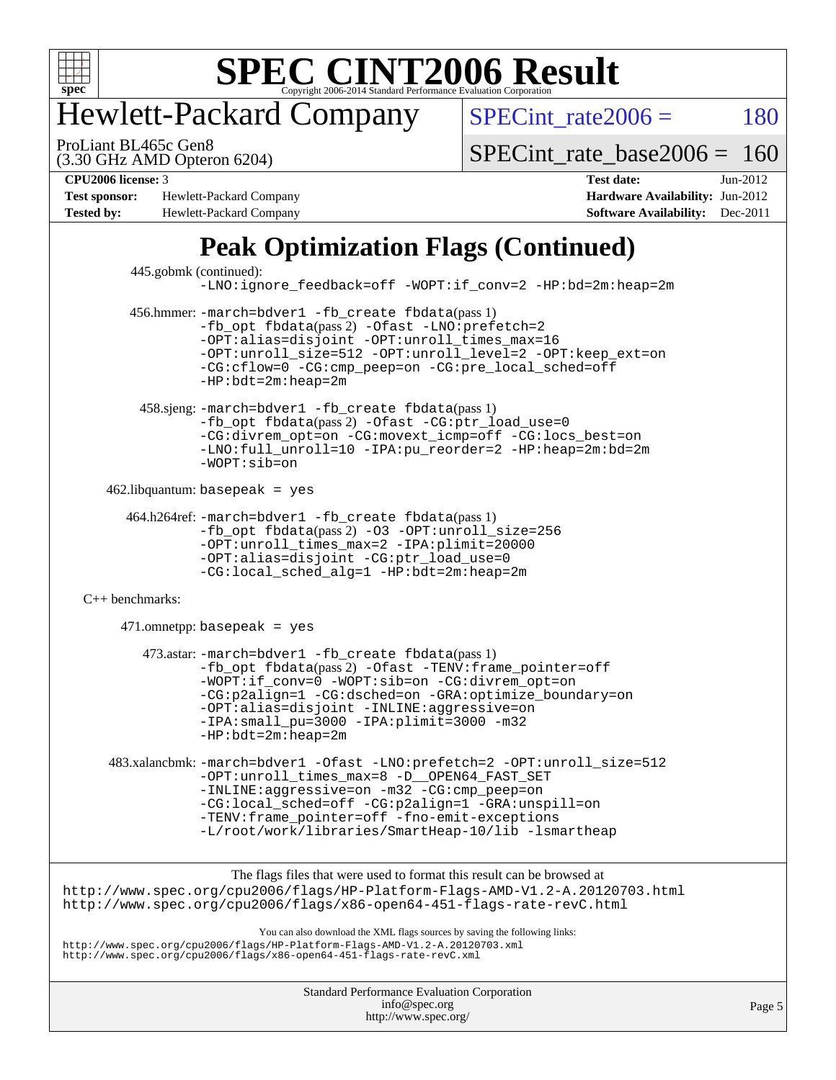

## Hewlett-Packard Company

 $SPECTnt_rate2006 = 180$ 

(3.30 GHz AMD Opteron 6204) ProLiant BL465c Gen8

[SPECint\\_rate\\_base2006 =](http://www.spec.org/auto/cpu2006/Docs/result-fields.html#SPECintratebase2006) 160

**[Test sponsor:](http://www.spec.org/auto/cpu2006/Docs/result-fields.html#Testsponsor)** Hewlett-Packard Company **[Hardware Availability:](http://www.spec.org/auto/cpu2006/Docs/result-fields.html#HardwareAvailability)** Jun-2012 **[Tested by:](http://www.spec.org/auto/cpu2006/Docs/result-fields.html#Testedby)** Hewlett-Packard Company **[Software Availability:](http://www.spec.org/auto/cpu2006/Docs/result-fields.html#SoftwareAvailability)** Dec-2011

**[CPU2006 license:](http://www.spec.org/auto/cpu2006/Docs/result-fields.html#CPU2006license)** 3 **[Test date:](http://www.spec.org/auto/cpu2006/Docs/result-fields.html#Testdate)** Jun-2012

### **[Peak Optimization Flags \(Continued\)](http://www.spec.org/auto/cpu2006/Docs/result-fields.html#PeakOptimizationFlags)**

| 445.gobmk (continued):                                                                                                                                                                                                            | -LNO:ignore_feedback=off -WOPT:if_conv=2 -HP:bd=2m:heap=2m                                                                                                                                                                                                                                                                                 |  |  |  |  |  |  |
|-----------------------------------------------------------------------------------------------------------------------------------------------------------------------------------------------------------------------------------|--------------------------------------------------------------------------------------------------------------------------------------------------------------------------------------------------------------------------------------------------------------------------------------------------------------------------------------------|--|--|--|--|--|--|
|                                                                                                                                                                                                                                   | 456.hmmer: -march=bdver1 -fb_create fbdata(pass 1)<br>-fb_opt fbdata(pass 2) -Ofast -LNO: prefetch=2<br>-OPT:alias=disjoint -OPT:unroll_times_max=16<br>-OPT:unroll_size=512 -OPT:unroll_level=2 -OPT:keep_ext=on<br>-CG:cflow=0 -CG:cmp peep=on -CG:pre local sched=off<br>$-HP:bdt=2m:heap=2m$                                           |  |  |  |  |  |  |
|                                                                                                                                                                                                                                   | 458.sjeng: -march=bdver1 -fb_create fbdata(pass 1)<br>-fb_opt fbdata(pass 2) -Ofast -CG:ptr_load_use=0<br>-CG:divrem opt=on -CG:movext icmp=off -CG:locs best=on<br>-LNO:full_unroll=10 -IPA:pu_reorder=2 -HP:heap=2m:bd=2m<br>$-WOPT: sib=on$                                                                                             |  |  |  |  |  |  |
|                                                                                                                                                                                                                                   | $462$ .libquantum: basepeak = yes                                                                                                                                                                                                                                                                                                          |  |  |  |  |  |  |
|                                                                                                                                                                                                                                   | 464.h264ref: -march=bdver1 -fb_create fbdata(pass 1)<br>-fb_opt fbdata(pass 2) -03 -OPT:unroll_size=256<br>-OPT:unroll_times_max=2 -IPA:plimit=20000<br>-OPT:alias=disjoint -CG:ptr_load_use=0<br>-CG:local_sched_alg=1 -HP:bdt=2m:heap=2m                                                                                                 |  |  |  |  |  |  |
| $C++$ benchmarks:                                                                                                                                                                                                                 |                                                                                                                                                                                                                                                                                                                                            |  |  |  |  |  |  |
|                                                                                                                                                                                                                                   | $471.$ omnetpp: basepeak = yes                                                                                                                                                                                                                                                                                                             |  |  |  |  |  |  |
|                                                                                                                                                                                                                                   | 473.astar: -march=bdver1 -fb_create fbdata(pass 1)<br>-fb_opt fbdata(pass 2) -Ofast -TENV: frame_pointer=off<br>-WOPT:if_conv=0 -WOPT:sib=on -CG:divrem_opt=on<br>-CG:p2align=1 -CG:dsched=on -GRA:optimize_boundary=on<br>-OPT:alias=disjoint -INLINE:aggressive=on<br>-IPA: small_pu=3000 -IPA: plimit=3000 -m32<br>$-HP:bdt=2m:heap=2m$ |  |  |  |  |  |  |
|                                                                                                                                                                                                                                   | 483.xalancbmk: -march=bdver1 -Ofast -LNO:prefetch=2 -OPT:unroll_size=512<br>-OPT:unroll_times_max=8 -D__OPEN64_FAST_SET<br>-INLINE:aggressive=on -m32 -CG:cmp_peep=on<br>-CG:local_sched=off -CG:p2align=1 -GRA:unspill=on<br>-TENV: frame_pointer=off -fno-emit-exceptions<br>-L/root/work/libraries/SmartHeap-10/lib -lsmartheap         |  |  |  |  |  |  |
|                                                                                                                                                                                                                                   | The flags files that were used to format this result can be browsed at                                                                                                                                                                                                                                                                     |  |  |  |  |  |  |
| http://www.spec.org/cpu2006/flags/HP-Platform-Flags-AMD-V1.2-A.20120703.html<br>http://www.spec.org/cpu2006/flags/x86-open64-451-flags-rate-revC.html                                                                             |                                                                                                                                                                                                                                                                                                                                            |  |  |  |  |  |  |
| You can also download the XML flags sources by saving the following links:<br>http://www.spec.org/cpu2006/flags/HP-Platform-Flags-AMD-V1.2-A.20120703.xml<br>http://www.spec.org/cpu2006/flags/x86-open64-451-flags-rate-revC.xml |                                                                                                                                                                                                                                                                                                                                            |  |  |  |  |  |  |
|                                                                                                                                                                                                                                   |                                                                                                                                                                                                                                                                                                                                            |  |  |  |  |  |  |

Standard Performance Evaluation Corporation [info@spec.org](mailto:info@spec.org) <http://www.spec.org/>